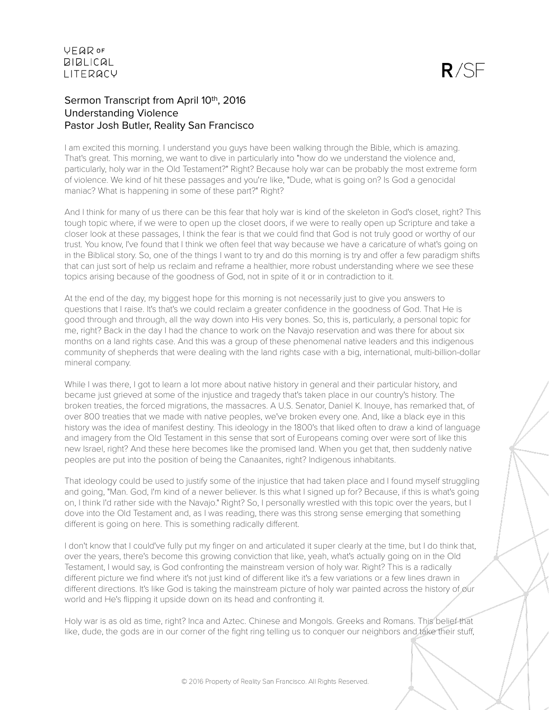# Sermon Transcript from April 10th, 2016 Understanding Violence Pastor Josh Butler, Reality San Francisco

I am excited this morning. I understand you guys have been walking through the Bible, which is amazing. That's great. This morning, we want to dive in particularly into "how do we understand the violence and, particularly, holy war in the Old Testament?" Right? Because holy war can be probably the most extreme form of violence. We kind of hit these passages and you're like, "Dude, what is going on? Is God a genocidal maniac? What is happening in some of these part?" Right?

And I think for many of us there can be this fear that holy war is kind of the skeleton in God's closet, right? This tough topic where, if we were to open up the closet doors, if we were to really open up Scripture and take a closer look at these passages, I think the fear is that we could find that God is not truly good or worthy of our trust. You know, I've found that I think we often feel that way because we have a caricature of what's going on in the Biblical story. So, one of the things I want to try and do this morning is try and offer a few paradigm shifts that can just sort of help us reclaim and reframe a healthier, more robust understanding where we see these topics arising because of the goodness of God, not in spite of it or in contradiction to it.

At the end of the day, my biggest hope for this morning is not necessarily just to give you answers to questions that I raise. It's that's we could reclaim a greater confidence in the goodness of God. That He is good through and through, all the way down into His very bones. So, this is, particularly, a personal topic for me, right? Back in the day I had the chance to work on the Navajo reservation and was there for about six months on a land rights case. And this was a group of these phenomenal native leaders and this indigenous community of shepherds that were dealing with the land rights case with a big, international, multi-billion-dollar mineral company.

While I was there, I got to learn a lot more about native history in general and their particular history, and became just grieved at some of the injustice and tragedy that's taken place in our country's history. The broken treaties, the forced migrations, the massacres. A U.S. Senator, Daniel K. Inouye, has remarked that, of over 800 treaties that we made with native peoples, we've broken every one. And, like a black eye in this history was the idea of manifest destiny. This ideology in the 1800's that liked often to draw a kind of language and imagery from the Old Testament in this sense that sort of Europeans coming over were sort of like this new Israel, right? And these here becomes like the promised land. When you get that, then suddenly native peoples are put into the position of being the Canaanites, right? Indigenous inhabitants.

That ideology could be used to justify some of the injustice that had taken place and I found myself struggling and going, "Man. God, I'm kind of a newer believer. Is this what I signed up for? Because, if this is what's going on, I think I'd rather side with the Navajo." Right? So, I personally wrestled with this topic over the years, but I dove into the Old Testament and, as I was reading, there was this strong sense emerging that something different is going on here. This is something radically different.

I don't know that I could've fully put my finger on and articulated it super clearly at the time, but I do think that, over the years, there's become this growing conviction that like, yeah, what's actually going on in the Old Testament, I would say, is God confronting the mainstream version of holy war. Right? This is a radically different picture we find where it's not just kind of different like it's a few variations or a few lines drawn in different directions. It's like God is taking the mainstream picture of holy war painted across the history of our world and He's flipping it upside down on its head and confronting it.

Holy war is as old as time, right? Inca and Aztec. Chinese and Mongols. Greeks and Romans. This belief that like, dude, the gods are in our corner of the fight ring telling us to conquer our neighbors and take their stuff,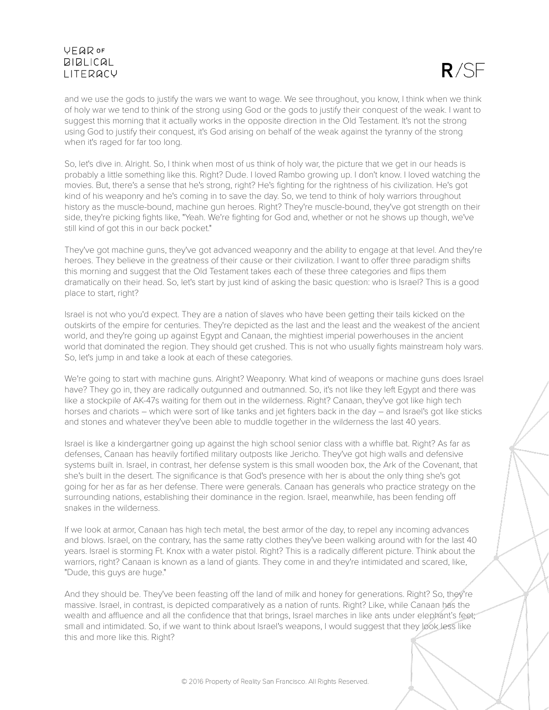

and we use the gods to justify the wars we want to wage. We see throughout, you know, I think when we think of holy war we tend to think of the strong using God or the gods to justify their conquest of the weak. I want to suggest this morning that it actually works in the opposite direction in the Old Testament. It's not the strong using God to justify their conquest, it's God arising on behalf of the weak against the tyranny of the strong when it's raged for far too long.

So, let's dive in. Alright. So, I think when most of us think of holy war, the picture that we get in our heads is probably a little something like this. Right? Dude. I loved Rambo growing up. I don't know. I loved watching the movies. But, there's a sense that he's strong, right? He's fighting for the rightness of his civilization. He's got kind of his weaponry and he's coming in to save the day. So, we tend to think of holy warriors throughout history as the muscle-bound, machine gun heroes. Right? They're muscle-bound, they've got strength on their side, they're picking fights like, "Yeah. We're fighting for God and, whether or not he shows up though, we've still kind of got this in our back pocket."

They've got machine guns, they've got advanced weaponry and the ability to engage at that level. And they're heroes. They believe in the greatness of their cause or their civilization. I want to offer three paradigm shifts this morning and suggest that the Old Testament takes each of these three categories and flips them dramatically on their head. So, let's start by just kind of asking the basic question: who is Israel? This is a good place to start, right?

Israel is not who you'd expect. They are a nation of slaves who have been getting their tails kicked on the outskirts of the empire for centuries. They're depicted as the last and the least and the weakest of the ancient world, and they're going up against Egypt and Canaan, the mightiest imperial powerhouses in the ancient world that dominated the region. They should get crushed. This is not who usually fights mainstream holy wars. So, let's jump in and take a look at each of these categories.

We're going to start with machine guns. Alright? Weaponry. What kind of weapons or machine guns does Israel have? They go in, they are radically outgunned and outmanned. So, it's not like they left Egypt and there was like a stockpile of AK-47s waiting for them out in the wilderness. Right? Canaan, they've got like high tech horses and chariots – which were sort of like tanks and jet fighters back in the day – and Israel's got like sticks and stones and whatever they've been able to muddle together in the wilderness the last 40 years.

Israel is like a kindergartner going up against the high school senior class with a whiffle bat. Right? As far as defenses, Canaan has heavily fortified military outposts like Jericho. They've got high walls and defensive systems built in. Israel, in contrast, her defense system is this small wooden box, the Ark of the Covenant, that she's built in the desert. The significance is that God's presence with her is about the only thing she's got going for her as far as her defense. There were generals. Canaan has generals who practice strategy on the surrounding nations, establishing their dominance in the region. Israel, meanwhile, has been fending off snakes in the wilderness.

If we look at armor, Canaan has high tech metal, the best armor of the day, to repel any incoming advances and blows. Israel, on the contrary, has the same ratty clothes they've been walking around with for the last 40 years. Israel is storming Ft. Knox with a water pistol. Right? This is a radically different picture. Think about the warriors, right? Canaan is known as a land of giants. They come in and they're intimidated and scared, like, "Dude, this guys are huge."

And they should be. They've been feasting off the land of milk and honey for generations. Right? So, they're massive. Israel, in contrast, is depicted comparatively as a nation of runts. Right? Like, while Canaan has the wealth and affluence and all the confidence that that brings, Israel marches in like ants under elephant's feet; small and intimidated. So, if we want to think about Israel's weapons, I would suggest that they look less like this and more like this. Right?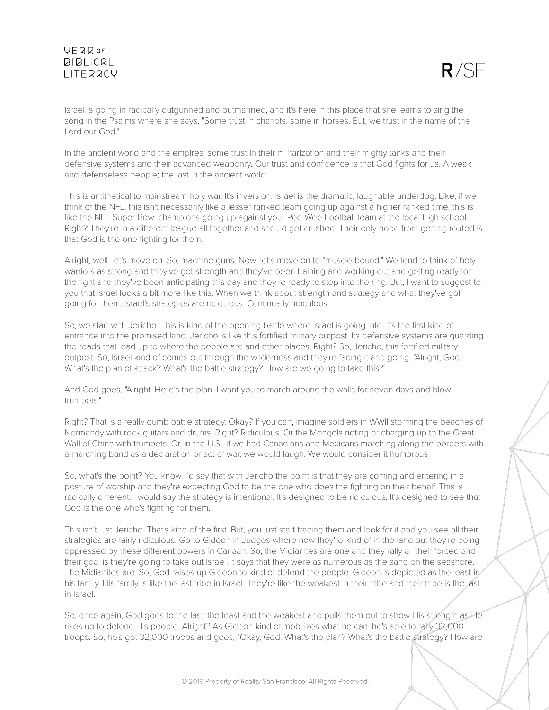

Israel is going in radically outgunned and outmanned, and it's here in this place that she learns to sing the song in the Psalms where she says, "Some trust in chariots, some in horses. But, we trust in the name of the Lord our God."

In the ancient world and the empires, some trust in their militarization and their mighty tanks and their defensive systems and their advanced weaponry. Our trust and confidence is that God fights for us. A weak and defenseless people; the last in the ancient world.

This is antithetical to mainstream holy war. It's inversion. Israel is the dramatic, laughable underdog. Like, if we think of the NFL, this isn't necessarily like a lesser ranked team going up against a higher ranked time, this is like the NFL Super Bowl champions going up against your Pee-Wee Football team at the local high school. Right? They're in a different league all together and should get crushed. Their only hope from getting routed is that God is the one fighting for them.

Alright, well, let's move on. So, machine guns. Now, let's move on to "muscle-bound." We tend to think of holy warriors as strong and they've got strength and they've been training and working out and getting ready for the fight and they've been anticipating this day and they're ready to step into the ring. But, I want to suggest to you that Israel looks a bit more like this. When we think about strength and strategy and what they've got going for them, Israel's strategies are ridiculous. Continually ridiculous.

So, we start with Jericho. This is kind of the opening battle where Israel is going into. It's the first kind of entrance into the promised land. Jericho is like this fortified military outpost. Its defensive systems are guarding the roads that lead up to where the people are and other places. Right? So, Jericho, this fortified military outpost. So, Israel kind of comes out through the wilderness and they're facing it and going, "Alright, God. What's the plan of attack? What's the battle strategy? How are we going to take this?"

And God goes, "Alright. Here's the plan: I want you to march around the walls for seven days and blow trumpets."

Right? That is a really dumb battle strategy. Okay? If you can, imagine soldiers in WWII storming the beaches of Normandy with rock guitars and drums. Right? Ridiculous. Or the Mongols rioting or charging up to the Great Wall of China with trumpets. Or, in the U.S., if we had Canadians and Mexicans marching along the borders with a marching band as a declaration or act of war, we would laugh. We would consider it humorous.

So, what's the point? You know, I'd say that with Jericho the point is that they are coming and entering in a posture of worship and they're expecting God to be the one who does the fighting on their behalf. This is radically different. I would say the strategy is intentional. It's designed to be ridiculous. It's designed to see that God is the one who's fighting for them.

This isn't just Jericho. That's kind of the first. But, you just start tracing them and look for it and you see all their strategies are fairly ridiculous. Go to Gideon in Judges where now they're kind of in the land but they're being oppressed by these different powers in Canaan. So, the Midianites are one and they rally all their forced and their goal is they're going to take out Israel. It says that they were as numerous as the sand on the seashore. The Midianites are. So, God raises up Gideon to kind of defend the people. Gideon is depicted as the least in his family. His family is like the last tribe in Israel. They're like the weakest in their tribe and their tribe is the last in Israel.

So, once again, God goes to the last, the least and the weakest and pulls them out to show His strength as He rises up to defend His people. Alright? As Gideon kind of mobilizes what he can, he's able to rally 32,000 troops. So, he's got 32,000 troops and goes, "Okay, God. What's the plan? What's the battle strategy? How are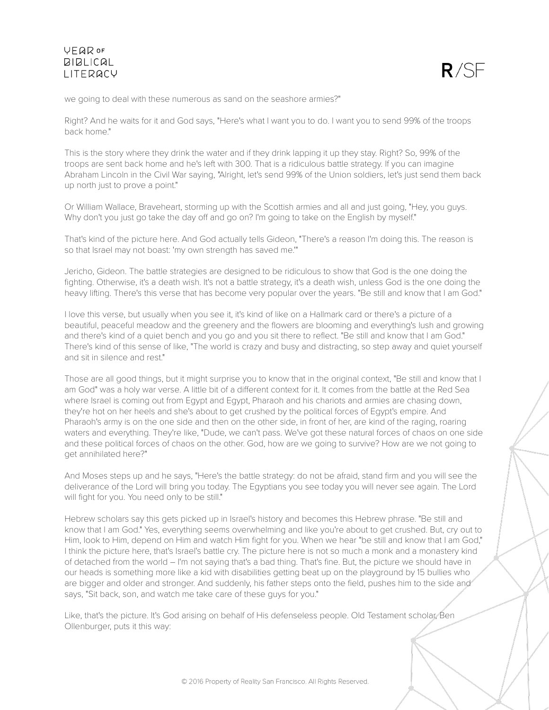

we going to deal with these numerous as sand on the seashore armies?"

Right? And he waits for it and God says, "Here's what I want you to do. I want you to send 99% of the troops back home."

This is the story where they drink the water and if they drink lapping it up they stay. Right? So, 99% of the troops are sent back home and he's left with 300. That is a ridiculous battle strategy. If you can imagine Abraham Lincoln in the Civil War saying, "Alright, let's send 99% of the Union soldiers, let's just send them back up north just to prove a point."

Or William Wallace, Braveheart, storming up with the Scottish armies and all and just going, "Hey, you guys. Why don't you just go take the day off and go on? I'm going to take on the English by myself."

That's kind of the picture here. And God actually tells Gideon, "There's a reason I'm doing this. The reason is so that Israel may not boast: 'my own strength has saved me.'"

Jericho, Gideon. The battle strategies are designed to be ridiculous to show that God is the one doing the fighting. Otherwise, it's a death wish. It's not a battle strategy, it's a death wish, unless God is the one doing the heavy lifting. There's this verse that has become very popular over the years. "Be still and know that I am God."

I love this verse, but usually when you see it, it's kind of like on a Hallmark card or there's a picture of a beautiful, peaceful meadow and the greenery and the flowers are blooming and everything's lush and growing and there's kind of a quiet bench and you go and you sit there to reflect. "Be still and know that I am God." There's kind of this sense of like, "The world is crazy and busy and distracting, so step away and quiet yourself and sit in silence and rest."

Those are all good things, but it might surprise you to know that in the original context, "Be still and know that I am God" was a holy war verse. A little bit of a different context for it. It comes from the battle at the Red Sea where Israel is coming out from Egypt and Egypt, Pharaoh and his chariots and armies are chasing down, they're hot on her heels and she's about to get crushed by the political forces of Egypt's empire. And Pharaoh's army is on the one side and then on the other side, in front of her, are kind of the raging, roaring waters and everything. They're like, "Dude, we can't pass. We've got these natural forces of chaos on one side and these political forces of chaos on the other. God, how are we going to survive? How are we not going to get annihilated here?"

And Moses steps up and he says, "Here's the battle strategy: do not be afraid, stand firm and you will see the deliverance of the Lord will bring you today. The Egyptians you see today you will never see again. The Lord will fight for you. You need only to be still."

Hebrew scholars say this gets picked up in Israel's history and becomes this Hebrew phrase. "Be still and know that I am God." Yes, everything seems overwhelming and like you're about to get crushed. But, cry out to Him, look to Him, depend on Him and watch Him fight for you. When we hear "be still and know that I am God," I think the picture here, that's Israel's battle cry. The picture here is not so much a monk and a monastery kind of detached from the world – I'm not saying that's a bad thing. That's fine. But, the picture we should have in our heads is something more like a kid with disabilities getting beat up on the playground by 15 bullies who are bigger and older and stronger. And suddenly, his father steps onto the field, pushes him to the side and says, "Sit back, son, and watch me take care of these guys for you."

Like, that's the picture. It's God arising on behalf of His defenseless people. Old Testament scholar, Ben Ollenburger, puts it this way: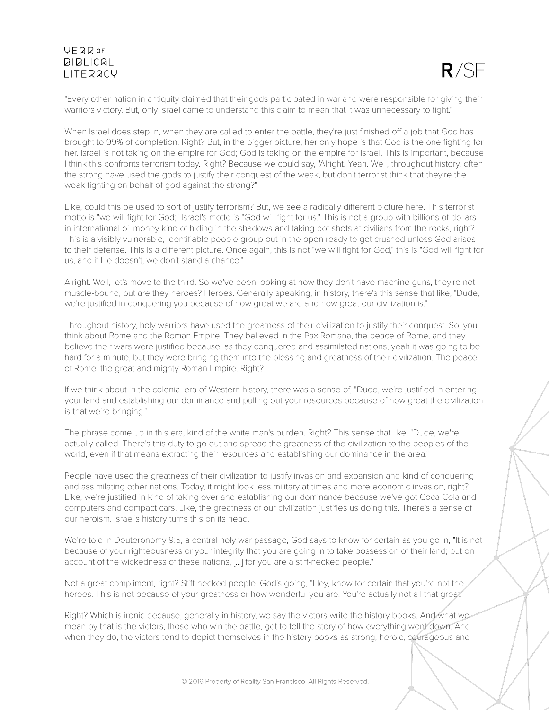

"Every other nation in antiquity claimed that their gods participated in war and were responsible for giving their warriors victory. But, only Israel came to understand this claim to mean that it was unnecessary to fight."

When Israel does step in, when they are called to enter the battle, they're just finished off a job that God has brought to 99% of completion. Right? But, in the bigger picture, her only hope is that God is the one fighting for her. Israel is not taking on the empire for God; God is taking on the empire for Israel. This is important, because I think this confronts terrorism today. Right? Because we could say, "Alright. Yeah. Well, throughout history, often the strong have used the gods to justify their conquest of the weak, but don't terrorist think that they're the weak fighting on behalf of god against the strong?"

Like, could this be used to sort of justify terrorism? But, we see a radically different picture here. This terrorist motto is "we will fight for God;" Israel's motto is "God will fight for us." This is not a group with billions of dollars in international oil money kind of hiding in the shadows and taking pot shots at civilians from the rocks, right? This is a visibly vulnerable, identifiable people group out in the open ready to get crushed unless God arises to their defense. This is a different picture. Once again, this is not "we will fight for God," this is "God will fight for us, and if He doesn't, we don't stand a chance."

Alright. Well, let's move to the third. So we've been looking at how they don't have machine guns, they're not muscle-bound, but are they heroes? Heroes. Generally speaking, in history, there's this sense that like, "Dude, we're justified in conquering you because of how great we are and how great our civilization is."

Throughout history, holy warriors have used the greatness of their civilization to justify their conquest. So, you think about Rome and the Roman Empire. They believed in the Pax Romana, the peace of Rome, and they believe their wars were justified because, as they conquered and assimilated nations, yeah it was going to be hard for a minute, but they were bringing them into the blessing and greatness of their civilization. The peace of Rome, the great and mighty Roman Empire. Right?

If we think about in the colonial era of Western history, there was a sense of, "Dude, we're justified in entering your land and establishing our dominance and pulling out your resources because of how great the civilization is that we're bringing."

The phrase come up in this era, kind of the white man's burden. Right? This sense that like, "Dude, we're actually called. There's this duty to go out and spread the greatness of the civilization to the peoples of the world, even if that means extracting their resources and establishing our dominance in the area."

People have used the greatness of their civilization to justify invasion and expansion and kind of conquering and assimilating other nations. Today, it might look less military at times and more economic invasion, right? Like, we're justified in kind of taking over and establishing our dominance because we've got Coca Cola and computers and compact cars. Like, the greatness of our civilization justifies us doing this. There's a sense of our heroism. Israel's history turns this on its head.

We're told in Deuteronomy 9:5, a central holy war passage, God says to know for certain as you go in, "It is not because of your righteousness or your integrity that you are going in to take possession of their land; but on account of the wickedness of these nations, [...] for you are a stiff-necked people."

Not a great compliment, right? Stiff-necked people. God's going, "Hey, know for certain that you're not the heroes. This is not because of your greatness or how wonderful you are. You're actually not all that great."

Right? Which is ironic because, generally in history, we say the victors write the history books. And what we mean by that is the victors, those who win the battle, get to tell the story of how everything went down. And when they do, the victors tend to depict themselves in the history books as strong, heroic, courageous and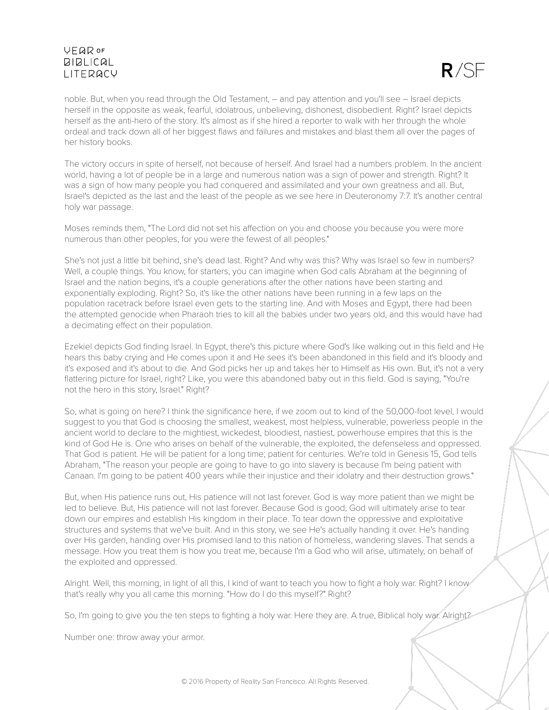

noble. But, when you read through the Old Testament, – and pay attention and you'll see – Israel depicts herself in the opposite as weak, fearful, idolatrous, unbelieving, dishonest, disobedient. Right? Israel depicts herself as the anti-hero of the story. It's almost as if she hired a reporter to walk with her through the whole ordeal and track down all of her biggest flaws and failures and mistakes and blast them all over the pages of her history books.

The victory occurs in spite of herself, not because of herself. And Israel had a numbers problem. In the ancient world, having a lot of people be in a large and numerous nation was a sign of power and strength. Right? It was a sign of how many people you had conquered and assimilated and your own greatness and all. But, Israel's depicted as the last and the least of the people as we see here in Deuteronomy 7:7. It's another central holy war passage.

Moses reminds them, "The Lord did not set his affection on you and choose you because you were more numerous than other peoples, for you were the fewest of all peoples."

She's not just a little bit behind, she's dead last. Right? And why was this? Why was Israel so few in numbers? Well, a couple things. You know, for starters, you can imagine when God calls Abraham at the beginning of Israel and the nation begins, it's a couple generations after the other nations have been starting and exponentially exploding. Right? So, it's like the other nations have been running in a few laps on the population racetrack before Israel even gets to the starting line. And with Moses and Egypt, there had been the attempted genocide when Pharaoh tries to kill all the babies under two years old, and this would have had a decimating effect on their population.

Ezekiel depicts God finding Israel. In Egypt, there's this picture where God's like walking out in this field and He hears this baby crying and He comes upon it and He sees it's been abandoned in this field and it's bloody and it's exposed and it's about to die. And God picks her up and takes her to Himself as His own. But, it's not a very flattering picture for Israel, right? Like, you were this abandoned baby out in this field. God is saying, "You're not the hero in this story, Israel." Right?

So, what is going on here? I think the significance here, if we zoom out to kind of the 50,000-foot level, I would suggest to you that God is choosing the smallest, weakest, most helpless, vulnerable, powerless people in the ancient world to declare to the mightiest, wickedest, bloodiest, nastiest, powerhouse empires that this is the kind of God He is. One who arises on behalf of the vulnerable, the exploited, the defenseless and oppressed. That God is patient. He will be patient for a long time; patient for centuries. We're told in Genesis 15, God tells Abraham, "The reason your people are going to have to go into slavery is because I'm being patient with Canaan. I'm going to be patient 400 years while their injustice and their idolatry and their destruction grows."

But, when His patience runs out, His patience will not last forever. God is way more patient than we might be led to believe. But, His patience will not last forever. Because God is good, God will ultimately arise to tear down our empires and establish His kingdom in their place. To tear down the oppressive and exploitative structures and systems that we've built. And in this story, we see He's actually handing it over. He's handing over His garden, handing over His promised land to this nation of homeless, wandering slaves. That sends a message. How you treat them is how you treat me, because I'm a God who will arise, ultimately, on behalf of the exploited and oppressed.

Alright. Well, this morning, in light of all this, I kind of want to teach you how to fight a holy war. Right? I know that's really why you all came this morning. "How do I do this myself?" Right?

So, I'm going to give you the ten steps to fighting a holy war. Here they are. A true, Biblical holy war. Alright?

Number one: throw away your armor.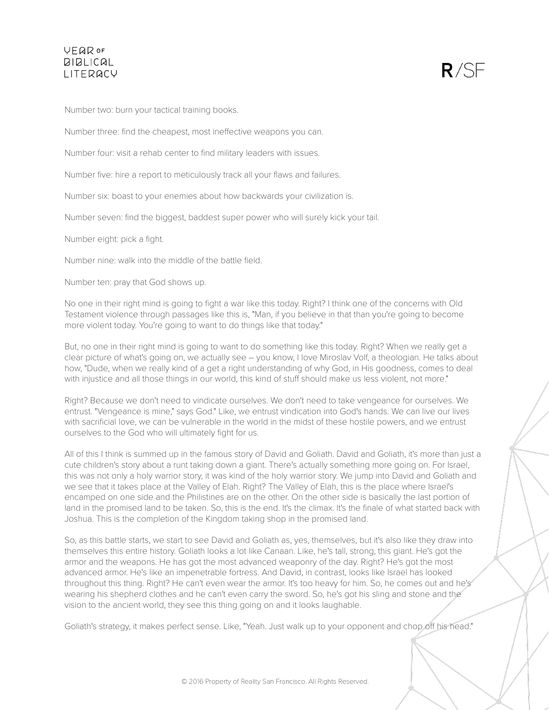

Number two: burn your tactical training books.

Number three: find the cheapest, most ineffective weapons you can.

Number four: visit a rehab center to find military leaders with issues.

Number five: hire a report to meticulously track all your flaws and failures.

Number six: boast to your enemies about how backwards your civilization is.

Number seven: find the biggest, baddest super power who will surely kick your tail.

Number eight: pick a fight.

Number nine: walk into the middle of the battle field.

Number ten: pray that God shows up.

No one in their right mind is going to fight a war like this today. Right? I think one of the concerns with Old Testament violence through passages like this is, "Man, if you believe in that than you're going to become more violent today. You're going to want to do things like that today."

But, no one in their right mind is going to want to do something like this today. Right? When we really get a clear picture of what's going on, we actually see – you know, I love Miroslav Volf, a theologian. He talks about how, "Dude, when we really kind of a get a right understanding of why God, in His goodness, comes to deal with injustice and all those things in our world, this kind of stuff should make us less violent, not more."

Right? Because we don't need to vindicate ourselves. We don't need to take vengeance for ourselves. We entrust. "Vengeance is mine," says God." Like, we entrust vindication into God's hands. We can live our lives with sacrificial love, we can be vulnerable in the world in the midst of these hostile powers, and we entrust ourselves to the God who will ultimately fight for us.

All of this I think is summed up in the famous story of David and Goliath. David and Goliath, it's more than just a cute children's story about a runt taking down a giant. There's actually something more going on. For Israel, this was not only a holy warrior story, it was kind of the holy warrior story. We jump into David and Goliath and we see that it takes place at the Valley of Elah. Right? The Valley of Elah, this is the place where Israel's encamped on one side and the Philistines are on the other. On the other side is basically the last portion of land in the promised land to be taken. So, this is the end. It's the climax. It's the finale of what started back with Joshua. This is the completion of the Kingdom taking shop in the promised land.

So, as this battle starts, we start to see David and Goliath as, yes, themselves, but it's also like they draw into themselves this entire history. Goliath looks a lot like Canaan. Like, he's tall, strong, this giant. He's got the armor and the weapons. He has got the most advanced weaponry of the day. Right? He's got the most advanced armor. He's like an impenetrable fortress. And David, in contrast, looks like Israel has looked throughout this thing. Right? He can't even wear the armor. It's too heavy for him. So, he comes out and he's wearing his shepherd clothes and he can't even carry the sword. So, he's got his sling and stone and the vision to the ancient world, they see this thing going on and it looks laughable.

Goliath's strategy, it makes perfect sense. Like, "Yeah. Just walk up to your opponent and chop off his head."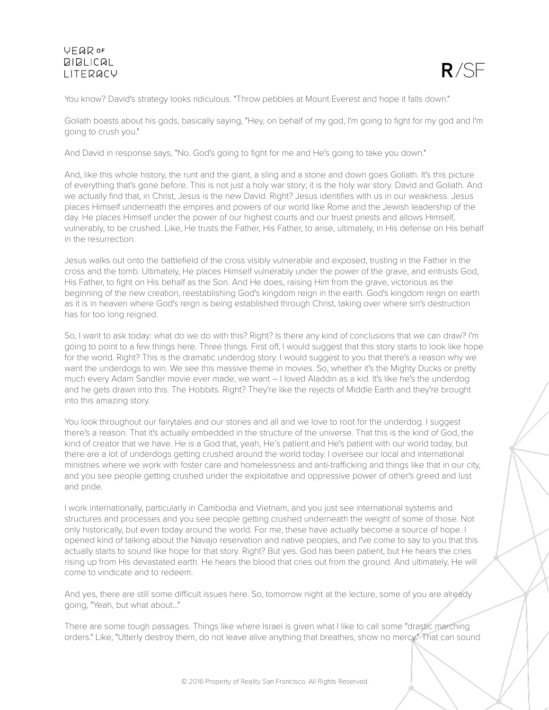

You know? David's strategy looks ridiculous. "Throw pebbles at Mount Everest and hope it falls down."

Goliath boasts about his gods, basically saying, "Hey, on behalf of my god, I'm going to fight for my god and I'm going to crush you."

And David in response says, "No. God's going to fight for me and He's going to take you down."

And, like this whole history, the runt and the giant, a sling and a stone and down goes Goliath. It's this picture of everything that's gone before. This is not just a holy war story; it is the holy war story. David and Goliath. And we actually find that, in Christ, Jesus is the new David. Right? Jesus identifies with us in our weakness. Jesus places Himself underneath the empires and powers of our world like Rome and the Jewish leadership of the day. He places Himself under the power of our highest courts and our truest priests and allows Himself, vulnerably, to be crushed. Like, He trusts the Father, His Father, to arise, ultimately, in His defense on His behalf in the resurrection.

Jesus walks out onto the battlefield of the cross visibly vulnerable and exposed, trusting in the Father in the cross and the tomb. Ultimately, He places Himself vulnerably under the power of the grave, and entrusts God, His Father, to fight on His behalf as the Son. And He does, raising Him from the grave, victorious as the beginning of the new creation, reestablishing God's kingdom reign in the earth. God's kingdom reign on earth as it is in heaven where God's reign is being established through Christ, taking over where sin's destruction has for too long reigned.

So, I want to ask today: what do we do with this? Right? Is there any kind of conclusions that we can draw? I'm going to point to a few things here. Three things. First off, I would suggest that this story starts to look like hope for the world. Right? This is the dramatic underdog story. I would suggest to you that there's a reason why we want the underdogs to win. We see this massive theme in movies. So, whether it's the Mighty Ducks or pretty much every Adam Sandler movie ever made, we want – I loved Aladdin as a kid. It's like he's the underdog and he gets drawn into this. The Hobbits. Right? They're like the rejects of Middle Earth and they're brought into this amazing story.

You look throughout our fairytales and our stories and all and we love to root for the underdog. I suggest there's a reason. That it's actually embedded in the structure of the universe. That this is the kind of God, the kind of creator that we have. He is a God that, yeah, He's patient and He's patient with our world today, but there are a lot of underdogs getting crushed around the world today. I oversee our local and international ministries where we work with foster care and homelessness and anti-trafficking and things like that in our city, and you see people getting crushed under the exploitative and oppressive power of other's greed and lust and pride.

I work internationally, particularly in Cambodia and Vietnam, and you just see international systems and structures and processes and you see people getting crushed underneath the weight of some of those. Not only historically, but even today around the world. For me, these have actually become a source of hope. I opened kind of talking about the Navajo reservation and native peoples, and I've come to say to you that this actually starts to sound like hope for that story. Right? But yes. God has been patient, but He hears the cries rising up from His devastated earth. He hears the blood that cries out from the ground. And ultimately, He will come to vindicate and to redeem.

And yes, there are still some difficult issues here. So, tomorrow night at the lecture, some of you are already going, "Yeah, but what about..."

There are some tough passages. Things like where Israel is given what I like to call some "drastic marching orders." Like, "Utterly destroy them, do not leave alive anything that breathes, show no mercy." That can sound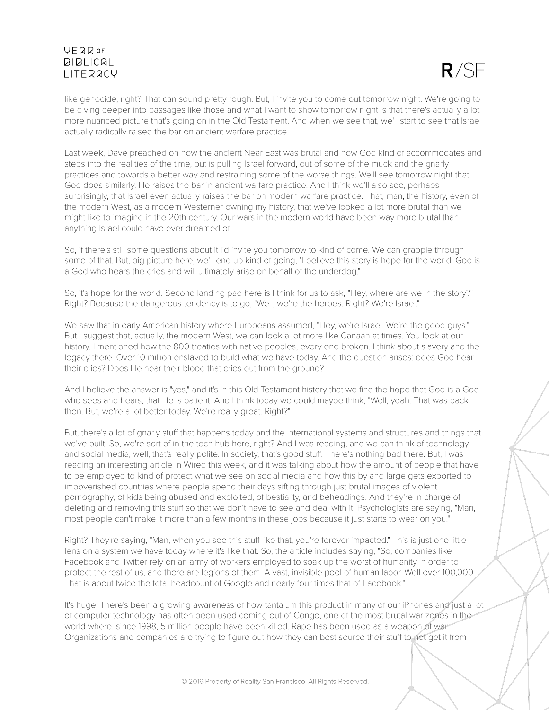

like genocide, right? That can sound pretty rough. But, I invite you to come out tomorrow night. We're going to be diving deeper into passages like those and what I want to show tomorrow night is that there's actually a lot more nuanced picture that's going on in the Old Testament. And when we see that, we'll start to see that Israel actually radically raised the bar on ancient warfare practice.

Last week, Dave preached on how the ancient Near East was brutal and how God kind of accommodates and steps into the realities of the time, but is pulling Israel forward, out of some of the muck and the gnarly practices and towards a better way and restraining some of the worse things. We'll see tomorrow night that God does similarly. He raises the bar in ancient warfare practice. And I think we'll also see, perhaps surprisingly, that Israel even actually raises the bar on modern warfare practice. That, man, the history, even of the modern West, as a modern Westerner owning my history, that we've looked a lot more brutal than we might like to imagine in the 20th century. Our wars in the modern world have been way more brutal than anything Israel could have ever dreamed of.

So, if there's still some questions about it I'd invite you tomorrow to kind of come. We can grapple through some of that. But, big picture here, we'll end up kind of going, "I believe this story is hope for the world. God is a God who hears the cries and will ultimately arise on behalf of the underdog."

So, it's hope for the world. Second landing pad here is I think for us to ask, "Hey, where are we in the story?" Right? Because the dangerous tendency is to go, "Well, we're the heroes. Right? We're Israel."

We saw that in early American history where Europeans assumed, "Hey, we're Israel. We're the good guys." But I suggest that, actually, the modern West, we can look a lot more like Canaan at times. You look at our history. I mentioned how the 800 treaties with native peoples, every one broken. I think about slavery and the legacy there. Over 10 million enslaved to build what we have today. And the question arises: does God hear their cries? Does He hear their blood that cries out from the ground?

And I believe the answer is "yes," and it's in this Old Testament history that we find the hope that God is a God who sees and hears; that He is patient. And I think today we could maybe think, "Well, yeah. That was back then. But, we're a lot better today. We're really great. Right?"

But, there's a lot of gnarly stuff that happens today and the international systems and structures and things that we've built. So, we're sort of in the tech hub here, right? And I was reading, and we can think of technology and social media, well, that's really polite. In society, that's good stuff. There's nothing bad there. But, I was reading an interesting article in Wired this week, and it was talking about how the amount of people that have to be employed to kind of protect what we see on social media and how this by and large gets exported to impoverished countries where people spend their days sifting through just brutal images of violent pornography, of kids being abused and exploited, of bestiality, and beheadings. And they're in charge of deleting and removing this stuff so that we don't have to see and deal with it. Psychologists are saying, "Man, most people can't make it more than a few months in these jobs because it just starts to wear on you."

Right? They're saying, "Man, when you see this stuff like that, you're forever impacted." This is just one little lens on a system we have today where it's like that. So, the article includes saying, "So, companies like Facebook and Twitter rely on an army of workers employed to soak up the worst of humanity in order to protect the rest of us, and there are legions of them. A vast, invisible pool of human labor. Well over 100,000. That is about twice the total headcount of Google and nearly four times that of Facebook."

It's huge. There's been a growing awareness of how tantalum this product in many of our iPhones and just a lot of computer technology has often been used coming out of Congo, one of the most brutal war zones in the world where, since 1998, 5 million people have been killed. Rape has been used as a weapon of war. Organizations and companies are trying to figure out how they can best source their stuff to not get it from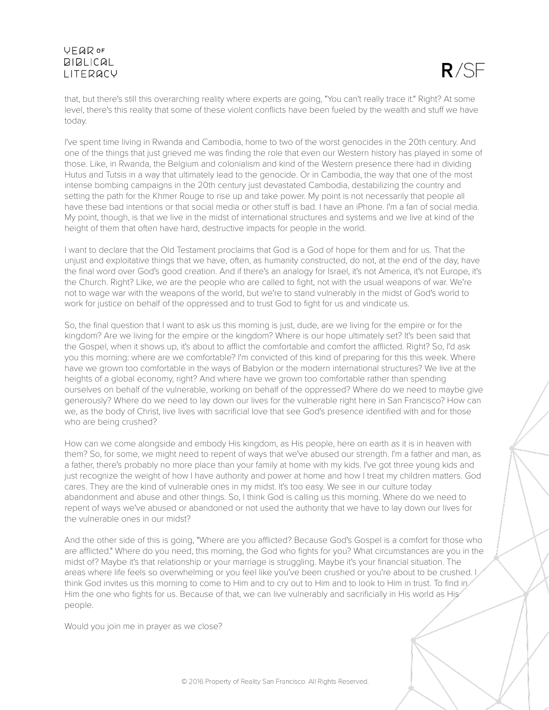

that, but there's still this overarching reality where experts are going, "You can't really trace it." Right? At some level, there's this reality that some of these violent conflicts have been fueled by the wealth and stuff we have today.

I've spent time living in Rwanda and Cambodia, home to two of the worst genocides in the 20th century. And one of the things that just grieved me was finding the role that even our Western history has played in some of those. Like, in Rwanda, the Belgium and colonialism and kind of the Western presence there had in dividing Hutus and Tutsis in a way that ultimately lead to the genocide. Or in Cambodia, the way that one of the most intense bombing campaigns in the 20th century just devastated Cambodia, destabilizing the country and setting the path for the Khmer Rouge to rise up and take power. My point is not necessarily that people all have these bad intentions or that social media or other stuff is bad. I have an iPhone. I'm a fan of social media. My point, though, is that we live in the midst of international structures and systems and we live at kind of the height of them that often have hard, destructive impacts for people in the world.

I want to declare that the Old Testament proclaims that God is a God of hope for them and for us. That the unjust and exploitative things that we have, often, as humanity constructed, do not, at the end of the day, have the final word over God's good creation. And if there's an analogy for Israel, it's not America, it's not Europe, it's the Church. Right? Like, we are the people who are called to fight, not with the usual weapons of war. We're not to wage war with the weapons of the world, but we're to stand vulnerably in the midst of God's world to work for justice on behalf of the oppressed and to trust God to fight for us and vindicate us.

So, the final question that I want to ask us this morning is just, dude, are we living for the empire or for the kingdom? Are we living for the empire or the kingdom? Where is our hope ultimately set? It's been said that the Gospel, when it shows up, it's about to afflict the comfortable and comfort the afflicted. Right? So, I'd ask you this morning: where are we comfortable? I'm convicted of this kind of preparing for this this week. Where have we grown too comfortable in the ways of Babylon or the modern international structures? We live at the heights of a global economy, right? And where have we grown too comfortable rather than spending ourselves on behalf of the vulnerable, working on behalf of the oppressed? Where do we need to maybe give generously? Where do we need to lay down our lives for the vulnerable right here in San Francisco? How can we, as the body of Christ, live lives with sacrificial love that see God's presence identified with and for those who are being crushed?

How can we come alongside and embody His kingdom, as His people, here on earth as it is in heaven with them? So, for some, we might need to repent of ways that we've abused our strength. I'm a father and man, as a father, there's probably no more place than your family at home with my kids. I've got three young kids and just recognize the weight of how I have authority and power at home and how I treat my children matters. God cares. They are the kind of vulnerable ones in my midst. It's too easy. We see in our culture today abandonment and abuse and other things. So, I think God is calling us this morning. Where do we need to repent of ways we've abused or abandoned or not used the authority that we have to lay down our lives for the vulnerable ones in our midst?

And the other side of this is going, "Where are you afflicted? Because God's Gospel is a comfort for those who are afflicted." Where do you need, this morning, the God who fights for you? What circumstances are you in the midst of? Maybe it's that relationship or your marriage is struggling. Maybe it's your financial situation. The areas where life feels so overwhelming or you feel like you've been crushed or you're about to be crushed. think God invites us this morning to come to Him and to cry out to Him and to look to Him in trust. To find in Him the one who fights for us. Because of that, we can live vulnerably and sacrificially in His world as His<sup>®</sup> people.

Would you join me in prayer as we close?